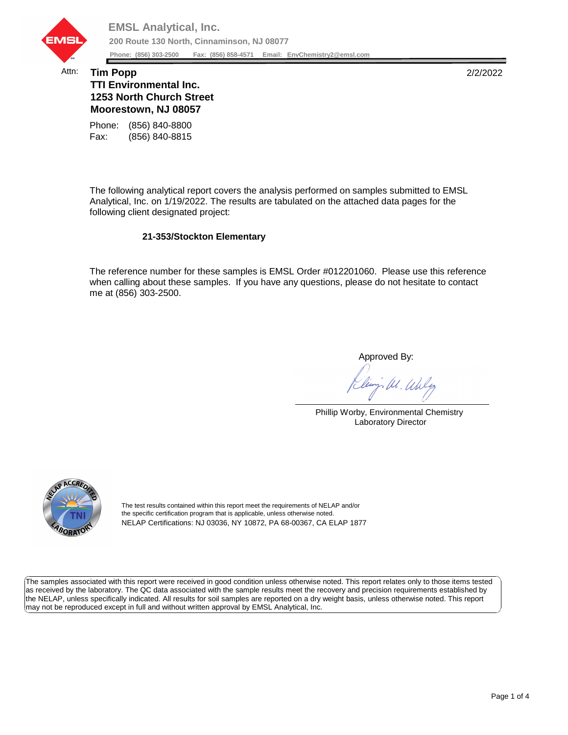

## Attn: **Tim Popp** 2/2/2022 **TTI Environmental Inc. 1253 North Church Street Moorestown, NJ 08057**

Fax: (856) 840-8815 Phone: (856) 840-8800

The following analytical report covers the analysis performed on samples submitted to EMSL Analytical, Inc. on 1/19/2022. The results are tabulated on the attached data pages for the following client designated project:

## **21-353/Stockton Elementary**

The reference number for these samples is EMSL Order #012201060. Please use this reference when calling about these samples. If you have any questions, please do not hesitate to contact me at (856) 303-2500.

Approved By:

W. Whly

Phillip Worby, Environmental Chemistry Laboratory Director



The test results contained within this report meet the requirements of NELAP and/or the specific certification program that is applicable, unless otherwise noted. NELAP Certifications: NJ 03036, NY 10872, PA 68-00367, CA ELAP 1877

The samples associated with this report were received in good condition unless otherwise noted. This report relates only to those items tested as received by the laboratory. The QC data associated with the sample results meet the recovery and precision requirements established by the NELAP, unless specifically indicated. All results for soil samples are reported on a dry weight basis, unless otherwise noted. This report may not be reproduced except in full and without written approval by EMSL Analytical, Inc.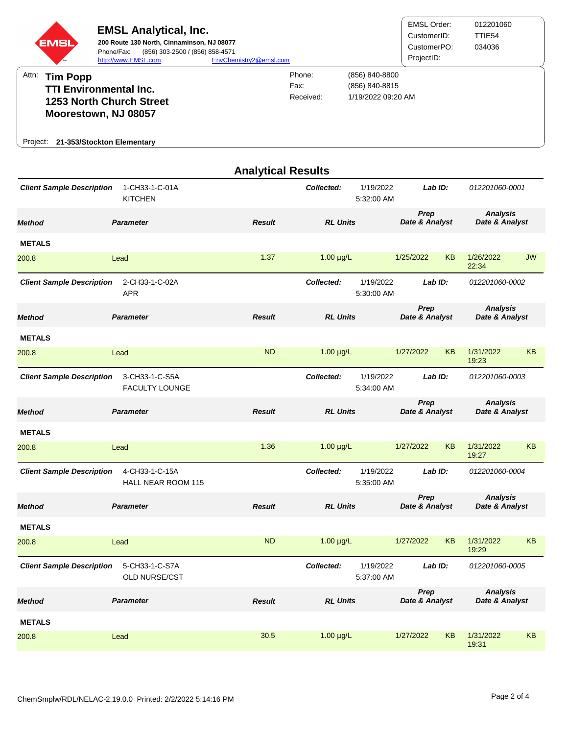

|                                                                             |                                             | <b>Analytical Results</b> |                                       |                         |                        |           |                                   |                |  |
|-----------------------------------------------------------------------------|---------------------------------------------|---------------------------|---------------------------------------|-------------------------|------------------------|-----------|-----------------------------------|----------------|--|
| <b>Client Sample Description</b>                                            | 1-CH33-1-C-01A<br><b>KITCHEN</b>            |                           | Collected:                            | 1/19/2022<br>5:32:00 AM |                        | Lab ID:   |                                   | 012201060-0001 |  |
| <b>Method</b>                                                               | <b>Parameter</b>                            | <b>Result</b>             | <b>RL Units</b>                       |                         | Prep<br>Date & Analyst |           | <b>Analysis</b><br>Date & Analyst |                |  |
| <b>METALS</b>                                                               |                                             |                           |                                       |                         |                        |           |                                   |                |  |
| 200.8                                                                       | Lead                                        | 1.37                      | $1.00 \mu g/L$                        |                         | 1/25/2022              | <b>KB</b> | 1/26/2022<br>22:34                | <b>JW</b>      |  |
| <b>Client Sample Description</b>                                            | 2-CH33-1-C-02A<br><b>APR</b>                |                           | Collected:<br>1/19/2022<br>5:30:00 AM |                         | Lab ID:                |           | 012201060-0002                    |                |  |
| <b>Method</b>                                                               | <b>Parameter</b>                            | <b>Result</b>             | <b>RL Units</b>                       |                         | Prep<br>Date & Analyst |           | <b>Analysis</b><br>Date & Analyst |                |  |
| <b>METALS</b>                                                               |                                             |                           |                                       |                         |                        |           |                                   |                |  |
| 200.8                                                                       | Lead                                        | <b>ND</b>                 | $1.00 \mu g/L$                        |                         | 1/27/2022              | <b>KB</b> | 1/31/2022<br>19:23                | <b>KB</b>      |  |
| <b>Client Sample Description</b><br>3-CH33-1-C-S5A<br><b>FACULTY LOUNGE</b> |                                             |                           | Collected:<br>1/19/2022<br>5:34:00 AM |                         | Lab ID:                |           | 012201060-0003                    |                |  |
| <b>Method</b>                                                               | <b>Parameter</b>                            | <b>Result</b>             | <b>RL Units</b>                       |                         | Prep<br>Date & Analyst |           | <b>Analysis</b><br>Date & Analyst |                |  |
| <b>METALS</b>                                                               |                                             |                           |                                       |                         |                        |           |                                   |                |  |
| 200.8                                                                       | Lead                                        | 1.36                      | $1.00 \mu g/L$                        |                         | 1/27/2022              | <b>KB</b> | 1/31/2022<br>19:27                | <b>KB</b>      |  |
| <b>Client Sample Description</b>                                            | 4-CH33-1-C-15A<br><b>HALL NEAR ROOM 115</b> |                           | Collected:                            | 1/19/2022<br>5:35:00 AM | Lab ID:                |           | 012201060-0004                    |                |  |
| <b>Method</b>                                                               | <b>Parameter</b>                            | <b>Result</b>             | <b>RL Units</b>                       |                         | Prep<br>Date & Analyst |           | <b>Analysis</b><br>Date & Analyst |                |  |
| <b>METALS</b>                                                               |                                             |                           |                                       |                         |                        |           |                                   |                |  |
| 200.8                                                                       | Lead                                        | <b>ND</b>                 | $1.00 \mu g/L$                        |                         | 1/27/2022              | <b>KB</b> | 1/31/2022<br>19:29                | <b>KB</b>      |  |
| 5-CH33-1-C-S7A<br><b>Client Sample Description</b><br>OLD NURSE/CST         |                                             |                           | 1/19/2022<br>Collected:<br>5:37:00 AM |                         | Lab ID:                |           | 012201060-0005                    |                |  |
| <b>Method</b>                                                               | <b>Parameter</b>                            | <b>Result</b>             | <b>RL Units</b>                       |                         | Prep<br>Date & Analyst |           | <b>Analysis</b><br>Date & Analyst |                |  |
| <b>METALS</b>                                                               |                                             |                           |                                       |                         |                        |           |                                   |                |  |
| 200.8                                                                       | Lead                                        | 30.5                      | $1.00 \mu g/L$                        |                         | 1/27/2022              | <b>KB</b> | 1/31/2022<br>19:31                | KB             |  |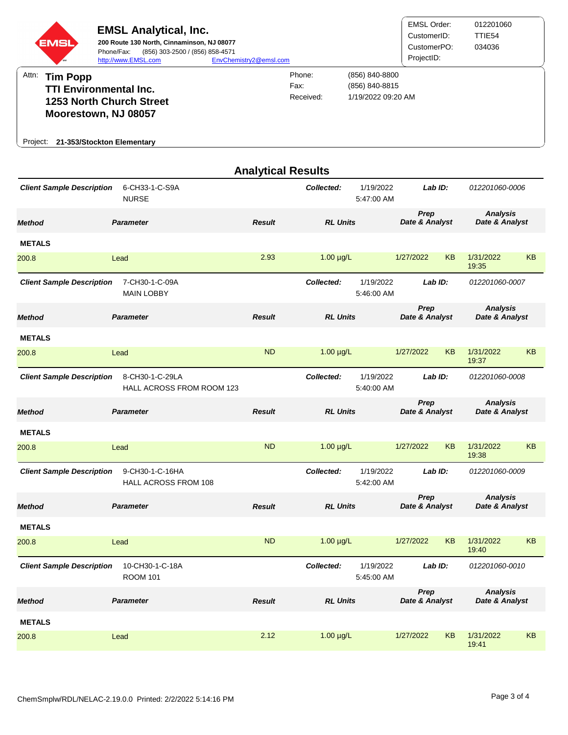

| <b>METALS</b>                                                           |                                                |               |                                       |                         |                        |           |                                   |           |
|-------------------------------------------------------------------------|------------------------------------------------|---------------|---------------------------------------|-------------------------|------------------------|-----------|-----------------------------------|-----------|
| 200.8                                                                   | Lead                                           | 2.93          | $1.00 \mu g/L$                        |                         | 1/27/2022              | <b>KB</b> | 1/31/2022<br>19:35                | <b>KB</b> |
| 7-CH30-1-C-09A<br><b>Client Sample Description</b><br><b>MAIN LOBBY</b> |                                                |               | Collected:                            | 1/19/2022<br>5:46:00 AM | LabID:                 |           | 012201060-0007                    |           |
| <b>Method</b>                                                           | <b>Parameter</b>                               | <b>Result</b> | <b>RL Units</b>                       |                         | Prep<br>Date & Analyst |           | <b>Analysis</b><br>Date & Analyst |           |
| <b>METALS</b>                                                           |                                                |               |                                       |                         |                        |           |                                   |           |
| 200.8                                                                   | Lead                                           | <b>ND</b>     | $1.00 \mu g/L$                        |                         | 1/27/2022              | <b>KB</b> | 1/31/2022<br>19:37                | <b>KB</b> |
| <b>Client Sample Description</b>                                        | 8-CH30-1-C-29LA<br>HALL ACROSS FROM ROOM 123   |               | Collected:                            | 1/19/2022<br>5:40:00 AM |                        | Lab ID:   | 012201060-0008                    |           |
| <b>Method</b>                                                           | <b>Parameter</b>                               | <b>Result</b> | <b>RL Units</b>                       |                         | Prep<br>Date & Analyst |           | <b>Analysis</b><br>Date & Analyst |           |
| <b>METALS</b>                                                           |                                                |               |                                       |                         |                        |           |                                   |           |
| 200.8                                                                   | Lead                                           | <b>ND</b>     | $1.00 \mu g/L$                        |                         | 1/27/2022              | <b>KB</b> | 1/31/2022<br>19:38                | <b>KB</b> |
| <b>Client Sample Description</b>                                        | 9-CH30-1-C-16HA<br><b>HALL ACROSS FROM 108</b> |               | Collected:<br>1/19/2022<br>5:42:00 AM |                         | $Lab$ $ID:$            |           | 012201060-0009                    |           |
| <b>Method</b>                                                           | <b>Parameter</b>                               | <b>Result</b> | <b>RL Units</b>                       |                         | Prep<br>Date & Analyst |           | <b>Analysis</b><br>Date & Analyst |           |
| <b>METALS</b>                                                           |                                                |               |                                       |                         |                        |           |                                   |           |
| 200.8                                                                   | Lead                                           | <b>ND</b>     | $1.00 \mu g/L$                        |                         | 1/27/2022              | <b>KB</b> | 1/31/2022<br>19:40                | <b>KB</b> |
| <b>Client Sample Description</b>                                        | 10-CH30-1-C-18A<br><b>ROOM 101</b>             |               | Collected:                            | 1/19/2022<br>5:45:00 AM | Lab ID:                |           | 012201060-0010                    |           |
| <b>Method</b>                                                           | <b>Parameter</b>                               | <b>Result</b> | <b>RL Units</b>                       |                         | Prep<br>Date & Analyst |           | <b>Analysis</b><br>Date & Analyst |           |
| <b>METALS</b>                                                           |                                                |               |                                       |                         |                        |           |                                   |           |
| 200.8                                                                   | Lead                                           | 2.12          | $1.00 \mu g/L$                        |                         | 1/27/2022              | <b>KB</b> | 1/31/2022<br>19:41                | <b>KB</b> |